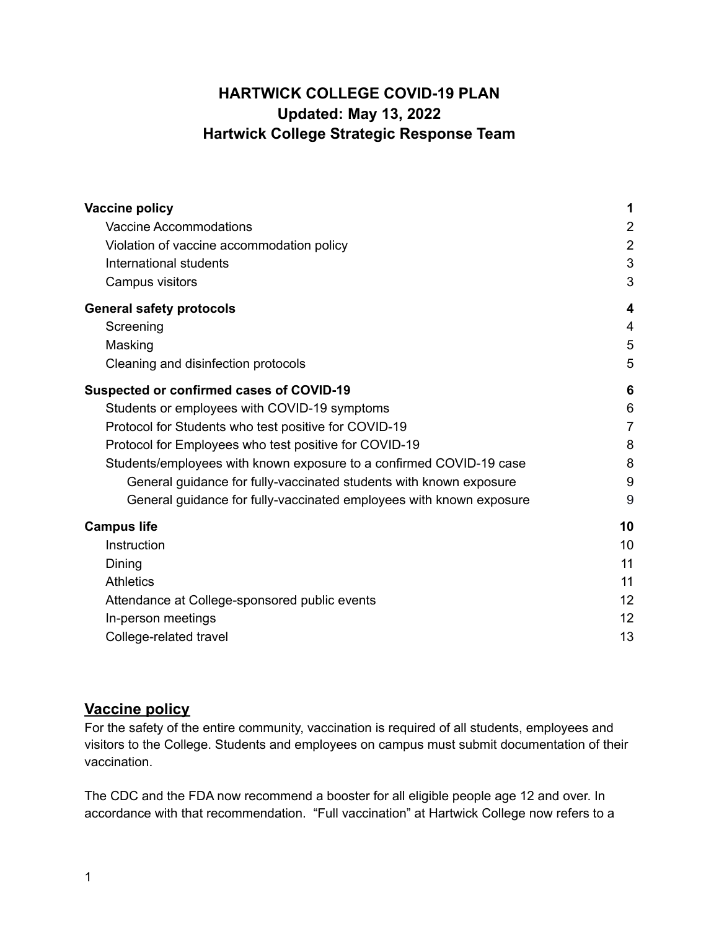# **HARTWICK COLLEGE COVID-19 PLAN Updated: May 13, 2022 Hartwick College Strategic Response Team**

| <b>Vaccine policy</b>                                               | 1              |
|---------------------------------------------------------------------|----------------|
| <b>Vaccine Accommodations</b>                                       | $\overline{2}$ |
| Violation of vaccine accommodation policy                           | $\overline{2}$ |
| International students                                              | 3              |
| Campus visitors                                                     | 3              |
| <b>General safety protocols</b>                                     | 4              |
| Screening                                                           | $\overline{4}$ |
| Masking                                                             | 5              |
| Cleaning and disinfection protocols                                 | 5              |
| <b>Suspected or confirmed cases of COVID-19</b>                     | 6              |
| Students or employees with COVID-19 symptoms                        | 6              |
| Protocol for Students who test positive for COVID-19                | $\overline{7}$ |
| Protocol for Employees who test positive for COVID-19               | 8              |
| Students/employees with known exposure to a confirmed COVID-19 case | 8              |
| General guidance for fully-vaccinated students with known exposure  | 9              |
| General guidance for fully-vaccinated employees with known exposure | 9              |
| <b>Campus life</b>                                                  | 10             |
| Instruction                                                         | 10             |
| Dining                                                              | 11             |
| <b>Athletics</b>                                                    | 11             |
| Attendance at College-sponsored public events                       | 12             |
| In-person meetings                                                  | 12             |
| College-related travel                                              | 13             |

## <span id="page-0-0"></span>**Vaccine policy**

For the safety of the entire community, vaccination is required of all students, employees and visitors to the College. Students and employees on campus must submit documentation of their vaccination.

The CDC and the FDA now recommend a booster for all eligible people age 12 and over. In accordance with that recommendation. "Full vaccination" at Hartwick College now refers to a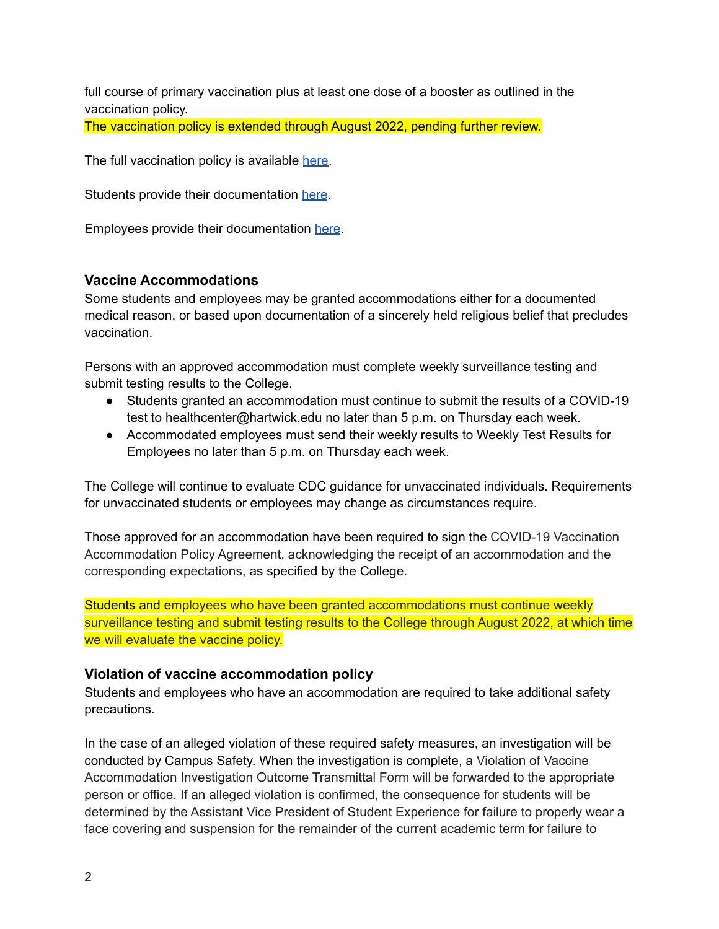full course of primary vaccination plus at least one dose of a booster as outlined in the vaccination policy.

The vaccination policy is extended through August 2022, pending further review.

The full vaccination policy is available [here.](https://www.hartwick.edu/wp-content/uploads/2021/12/HartwickCollegeCOVIDVaccinePolicyUpdated12-22-21.pdf)

Students provide their documentation [here](https://docs.google.com/forms/d/e/1FAIpQLSf3kqDjf9YUtWwvnHUfIp_qx8AibQTGNgjd1pQk_0GCIBIsvw/viewform).

Employees provide their documentation [here](https://forms.gle/xx7wRr5fvB3CTDaW8).

#### <span id="page-1-0"></span>**Vaccine Accommodations**

Some students and employees may be granted accommodations either for a documented medical reason, or based upon documentation of a sincerely held religious belief that precludes vaccination.

Persons with an approved accommodation must complete weekly surveillance testing and submit testing results to the College.

- Students granted an accommodation must continue to submit the results of a COVID-19 test to healthcenter@hartwick.edu no later than 5 p.m. on Thursday each week.
- Accommodated employees must send their weekly results to Weekly Test [Results](https://docs.google.com/forms/d/1P2-oK0YXmPG6HzGh_-sxB62IqFC_YNTx0zDIV4MPkTc/viewform?edit_requested=true) for [Employees](https://docs.google.com/forms/d/1P2-oK0YXmPG6HzGh_-sxB62IqFC_YNTx0zDIV4MPkTc/viewform?edit_requested=true) no later than 5 p.m. on Thursday each week.

The College will continue to evaluate CDC guidance for unvaccinated individuals. Requirements for unvaccinated students or employees may change as circumstances require.

Those approved for an accommodation have been required to sign the COVID-19 Vaccination Accommodation Policy Agreement, acknowledging the receipt of an accommodation and the corresponding expectations, as specified by the College.

Students and employees who have been granted accommodations must continue weekly surveillance testing and submit testing results to the College through August 2022, at which time we will evaluate the vaccine policy.

#### <span id="page-1-1"></span>**Violation of vaccine accommodation policy**

Students and employees who have an accommodation are required to take additional safety precautions.

In the case of an alleged violation of these required safety measures, an investigation will be conducted by Campus Safety. When the investigation is complete, a Violation of Vaccine Accommodation Investigation Outcome Transmittal Form will be forwarded to the appropriate person or office. If an alleged violation is confirmed, the consequence for students will be determined by the Assistant Vice President of Student Experience for failure to properly wear a face covering and suspension for the remainder of the current academic term for failure to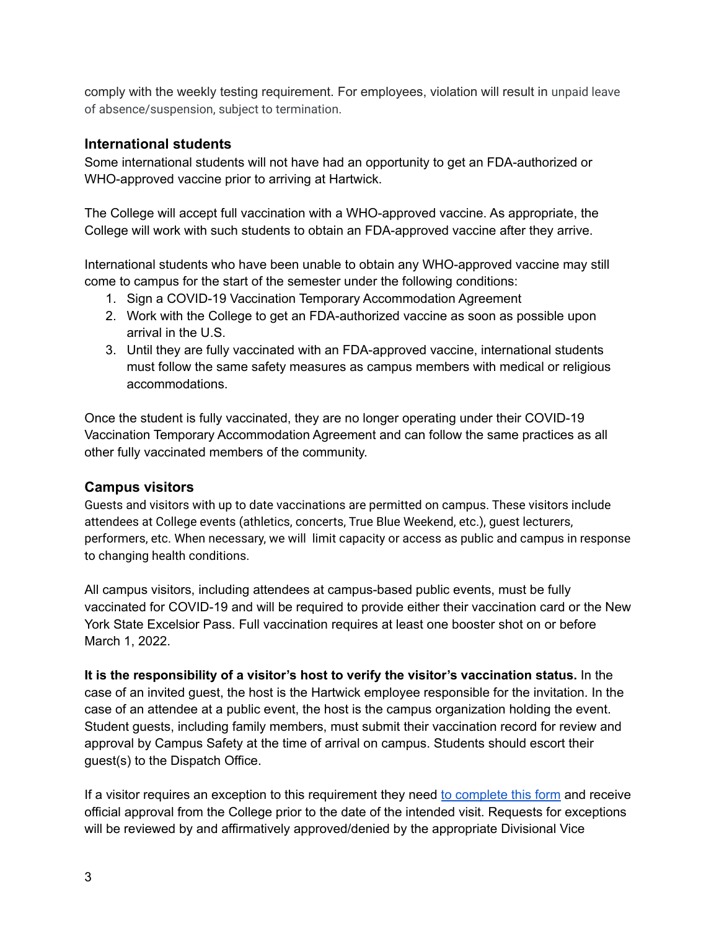comply with the weekly testing requirement. For employees, violation will result in unpaid leave of absence/suspension, subject to termination.

### <span id="page-2-0"></span>**International students**

Some international students will not have had an opportunity to get an FDA-authorized or WHO-approved vaccine prior to arriving at Hartwick.

The College will accept full vaccination with a WHO-approved vaccine. As appropriate, the College will work with such students to obtain an FDA-approved vaccine after they arrive.

International students who have been unable to obtain any WHO-approved vaccine may still come to campus for the start of the semester under the following conditions:

- 1. Sign a COVID-19 Vaccination Temporary Accommodation Agreement
- 2. Work with the College to get an FDA-authorized vaccine as soon as possible upon arrival in the U.S.
- 3. Until they are fully vaccinated with an FDA-approved vaccine, international students must follow the same safety measures as campus members with medical or religious accommodations.

Once the student is fully vaccinated, they are no longer operating under their COVID-19 Vaccination Temporary Accommodation Agreement and can follow the same practices as all other fully vaccinated members of the community.

#### <span id="page-2-1"></span>**Campus visitors**

Guests and visitors with up to date vaccinations are permitted on campus. These visitors include attendees at College events (athletics, concerts, True Blue Weekend, etc.), guest lecturers, performers, etc. When necessary, we will limit capacity or access as public and campus in response to changing health conditions.

All campus visitors, including attendees at campus-based public events, must be fully vaccinated for COVID-19 and will be required to provide either their vaccination card or the New York State Excelsior Pass. Full vaccination requires at least one booster shot on or before March 1, 2022.

**It is the responsibility of a visitor's host to verify the visitor's vaccination status.** In the case of an invited guest, the host is the Hartwick employee responsible for the invitation. In the case of an attendee at a public event, the host is the campus organization holding the event. Student guests, including family members, must submit their vaccination record for review and approval by Campus Safety at the time of arrival on campus. Students should escort their guest(s) to the Dispatch Office.

If a visitor requires an exception to this requirement they need to [complete](https://docs.google.com/forms/d/e/1FAIpQLSc19nhMHgvMTWu5r--g4XeHAjgiSEwQiUOpQ64PkPI8G_5Q7Q/viewform) this form and receive official approval from the College prior to the date of the intended visit. Requests for exceptions will be reviewed by and affirmatively approved/denied by the appropriate Divisional Vice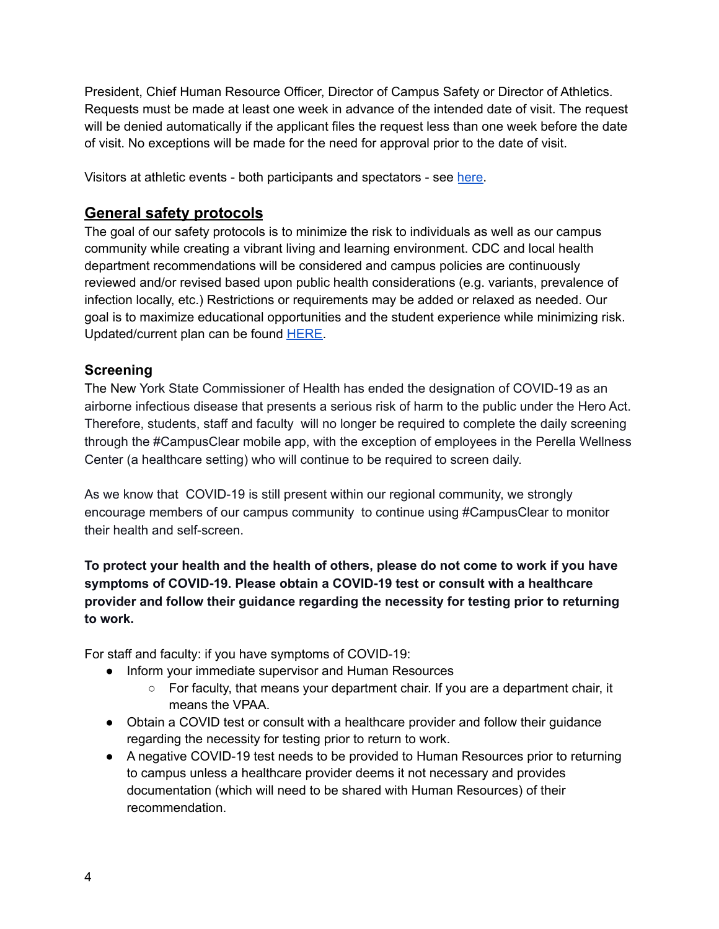President, Chief Human Resource Officer, Director of Campus Safety or Director of Athletics. Requests must be made at least one week in advance of the intended date of visit. The request will be denied automatically if the applicant files the request less than one week before the date of visit. No exceptions will be made for the need for approval prior to the date of visit.

Visitors at athletic events - both participants and spectators - see [here.](#page-10-1)

## <span id="page-3-0"></span>**General safety protocols**

The goal of our safety protocols is to minimize the risk to individuals as well as our campus community while creating a vibrant living and learning environment. CDC and local health department recommendations will be considered and campus policies are continuously reviewed and/or revised based upon public health considerations (e.g. variants, prevalence of infection locally, etc.) Restrictions or requirements may be added or relaxed as needed. Our goal is to maximize educational opportunities and the student experience while minimizing risk. Updated/current plan can be found [HERE.](https://www.hartwick.edu/about-us/covid-19-updates/)

### <span id="page-3-1"></span>**Screening**

The New York State Commissioner of Health has ended the designation of COVID-19 as an airborne infectious disease that presents a serious risk of harm to the public under the Hero Act. Therefore, students, staff and faculty will no longer be required to complete the daily screening through the #CampusClear mobile app, with the exception of employees in the Perella Wellness Center (a healthcare setting) who will continue to be required to screen daily.

As we know that COVID-19 is still present within our regional community, we strongly encourage members of our campus community to continue using #CampusClear to monitor their health and self-screen.

**To protect your health and the health of others, please do not come to work if you have symptoms of COVID-19. Please obtain a COVID-19 test or consult with a healthcare provider and follow their guidance regarding the necessity for testing prior to returning to work.**

For staff and faculty: if you have symptoms of COVID-19:

- Inform your immediate supervisor and Human Resources
	- $\circ$  For faculty, that means your department chair. If you are a department chair, it means the VPAA.
- Obtain a COVID test or consult with a healthcare provider and follow their guidance regarding the necessity for testing prior to return to work.
- A negative COVID-19 test needs to be provided to Human Resources prior to returning to campus unless a healthcare provider deems it not necessary and provides documentation (which will need to be shared with Human Resources) of their recommendation.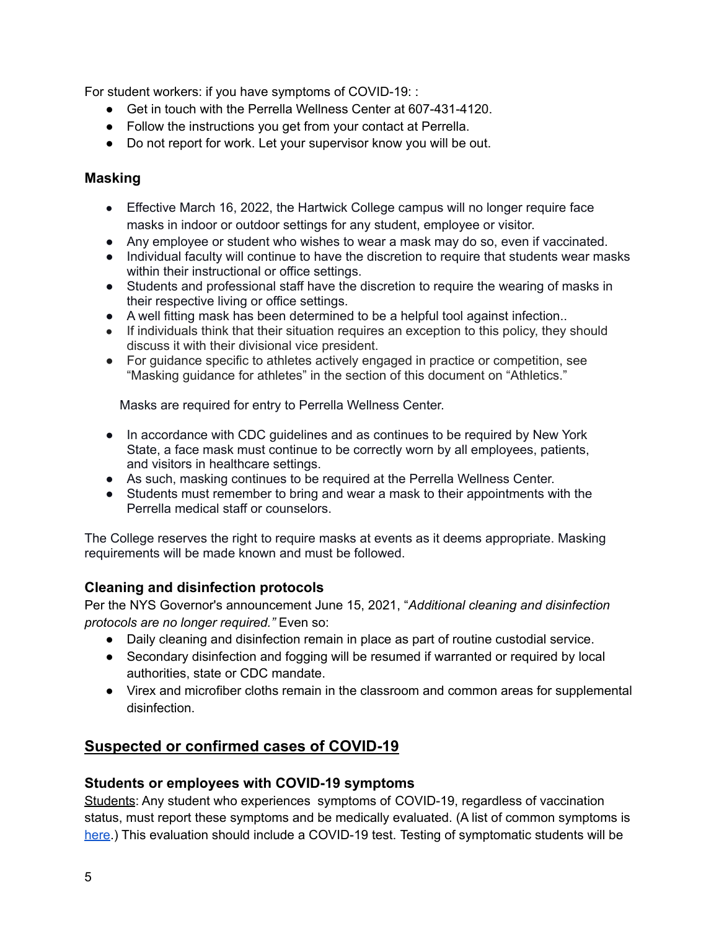For student workers: if you have symptoms of COVID-19: :

- Get in touch with the Perrella Wellness Center at 607-431-4120.
- Follow the instructions you get from your contact at Perrella.
- Do not report for work. Let your supervisor know you will be out.

### <span id="page-4-0"></span>**Masking**

- Effective March 16, 2022, the Hartwick College campus will no longer require face masks in indoor or outdoor settings for any student, employee or visitor.
- Any employee or student who wishes to wear a mask may do so, even if vaccinated.
- Individual faculty will continue to have the discretion to require that students wear masks within their instructional or office settings.
- Students and professional staff have the discretion to require the wearing of masks in their respective living or office settings.
- A well fitting mask has been determined to be a helpful tool against infection..
- If individuals think that their situation requires an exception to this policy, they should discuss it with their divisional vice president.
- For guidance specific to athletes actively engaged in practice or competition, see "Masking guidance for athletes" in the section of this document on "Athletics."

Masks are required for entry to Perrella Wellness Center.

- In accordance with CDC guidelines and as continues to be required by New York State, a face mask must continue to be correctly worn by all employees, patients, and visitors in healthcare settings.
- As such, masking continues to be required at the Perrella Wellness Center.
- Students must remember to bring and wear a mask to their appointments with the Perrella medical staff or counselors.

The College reserves the right to require masks at events as it deems appropriate. Masking requirements will be made known and must be followed.

## <span id="page-4-1"></span>**Cleaning and disinfection protocols**

Per the NYS Governor's announcement June 15, 2021, "*Additional cleaning and disinfection protocols are no longer required."* Even so:

- Daily cleaning and disinfection remain in place as part of routine custodial service.
- Secondary disinfection and fogging will be resumed if warranted or required by local authorities, state or CDC mandate.
- Virex and microfiber cloths remain in the classroom and common areas for supplemental disinfection.

# <span id="page-4-2"></span>**Suspected or confirmed cases of COVID-19**

## <span id="page-4-3"></span>**Students or employees with COVID-19 symptoms**

Students: Any student who experiences symptoms of COVID-19, regardless of vaccination status, must report these symptoms and be medically evaluated. (A list of common symptoms is [here](https://www.cdc.gov/coronavirus/2019-ncov/symptoms-testing/symptoms.html).) This evaluation should include a COVID-19 test. Testing of symptomatic students will be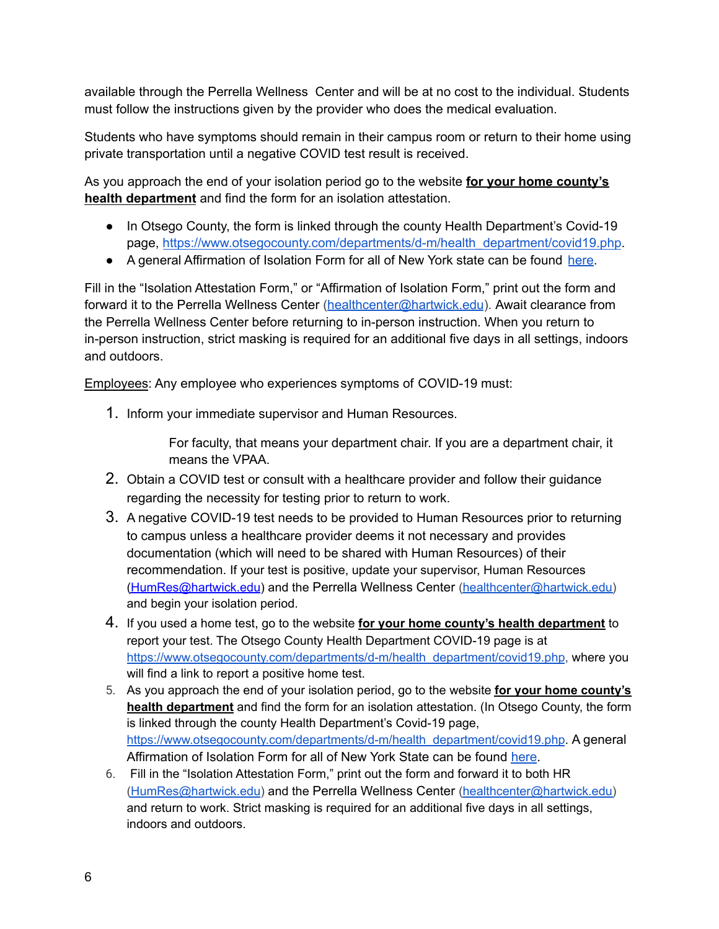available through the Perrella Wellness Center and will be at no cost to the individual. Students must follow the instructions given by the provider who does the medical evaluation.

Students who have symptoms should remain in their campus room or return to their home using private transportation until a negative COVID test result is received.

As you approach the end of your isolation period go to the website **for your home county's health department** and find the form for an isolation attestation.

- In Otsego County, the form is linked through the county Health Department's Covid-19 page, [https://www.otsegocounty.com/departments/d-m/health\\_department/covid19.php](https://www.otsegocounty.com/departments/d-m/health_department/covid19.php).
- A general Affirmation of Isolation Form for all of New York state can be found [here.](https://coronavirus.health.ny.gov/system/files/documents/2022/01/affirmation_of_isolation_011222.pdf)

Fill in the "Isolation Attestation Form," or "Affirmation of Isolation Form," print out the form and forward it to the Perrella Wellness Center ([healthcenter@hartwick.edu](mailto:healthcenter@hartwick.edu)). Await clearance from the Perrella Wellness Center before returning to in-person instruction. When you return to in-person instruction, strict masking is required for an additional five days in all settings, indoors and outdoors.

Employees: Any employee who experiences symptoms of COVID-19 must:

1. Inform your immediate supervisor and Human Resources.

For faculty, that means your department chair. If you are a department chair, it means the VPAA.

- 2. Obtain a COVID test or consult with a healthcare provider and follow their guidance regarding the necessity for testing prior to return to work.
- 3. A negative COVID-19 test needs to be provided to Human Resources prior to returning to campus unless a healthcare provider deems it not necessary and provides documentation (which will need to be shared with Human Resources) of their recommendation. If your test is positive, update your supervisor, Human Resources [\(HumRes@hartwick.edu\)](mailto:HumRes@hartwick.edu) and the Perrella Wellness Center [\(healthcenter@hartwick.edu\)](mailto:healthcenter@hartwick.edu) and begin your isolation period.
- 4. If you used a home test, go to the website **for your home county's health department** to report your test. The Otsego County Health Department COVID-19 page is at [https://www.otsegocounty.com/departments/d-m/health\\_department/covid19.php](https://www.otsegocounty.com/departments/d-m/health_department/covid19.php), where you will find a link to report a positive home test.
- 5. As you approach the end of your isolation period, go to the website **for your home county's health department** and find the form for an isolation attestation. (In Otsego County, the form is linked through the county Health Department's Covid-19 page, [https://www.otsegocounty.com/departments/d-m/health\\_department/covid19.php](https://www.otsegocounty.com/departments/d-m/health_department/covid19.php). A general Affirmation of Isolation Form for all of New York State can be found [here](https://coronavirus.health.ny.gov/system/files/documents/2022/01/affirmation_of_isolation_011222.pdf).
- 6. Fill in the "Isolation Attestation Form," print out the form and forward it to both HR [\(HumRes@hartwick.edu\)](mailto:HumRes@hartwick.edu) and the Perrella Wellness Center [\(healthcenter@hartwick.edu\)](mailto:healthcenter@hartwick.edu) and return to work. Strict masking is required for an additional five days in all settings, indoors and outdoors.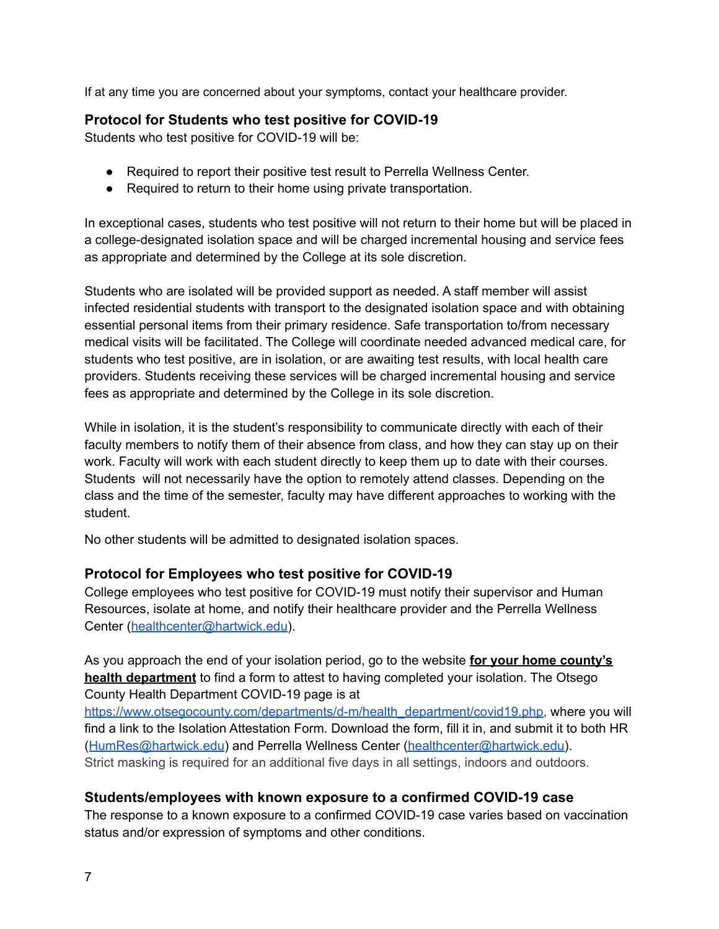If at any time you are concerned about your symptoms, contact your healthcare provider.

### <span id="page-6-0"></span>**Protocol for Students who test positive for COVID-19**

Students who test positive for COVID-19 will be:

- Required to report their positive test result to Perrella Wellness Center.
- Required to return to their home using private transportation.

In exceptional cases, students who test positive will not return to their home but will be placed in a college-designated isolation space and will be charged incremental housing and service fees as appropriate and determined by the College at its sole discretion.

Students who are isolated will be provided support as needed. A staff member will assist infected residential students with transport to the designated isolation space and with obtaining essential personal items from their primary residence. Safe transportation to/from necessary medical visits will be facilitated. The College will coordinate needed advanced medical care, for students who test positive, are in isolation, or are awaiting test results, with local health care providers. Students receiving these services will be charged incremental housing and service fees as appropriate and determined by the College in its sole discretion.

While in isolation, it is the student's responsibility to communicate directly with each of their faculty members to notify them of their absence from class, and how they can stay up on their work. Faculty will work with each student directly to keep them up to date with their courses. Students will not necessarily have the option to remotely attend classes. Depending on the class and the time of the semester, faculty may have different approaches to working with the student.

No other students will be admitted to designated isolation spaces.

## <span id="page-6-1"></span>**Protocol for Employees who test positive for COVID-19**

College employees who test positive for COVID-19 must notify their supervisor and Human Resources, isolate at home, and notify their healthcare provider and the Perrella Wellness Center ([healthcenter@hartwick.edu](mailto:healthcenter@hartwick.edu)).

As you approach the end of your isolation period, go to the website **for your home county's health department** to find a form to attest to having completed your isolation. The Otsego County Health Department COVID-19 page is at

[https://www.otsegocounty.com/departments/d-m/health\\_department/covid19.php,](https://www.otsegocounty.com/departments/d-m/health_department/covid19.php) where you will find a link to the Isolation Attestation Form. Download the form, fill it in, and submit it to both HR ([HumRes@hartwick.edu](mailto:HumRes@hartwick.edu)) and Perrella Wellness Center [\(healthcenter@hartwick.edu\)](mailto:healthcenter@hartwick.edu). Strict masking is required for an additional five days in all settings, indoors and outdoors.

## <span id="page-6-2"></span>**Students/employees with known exposure to a confirmed COVID-19 case**

The response to a known exposure to a confirmed COVID-19 case varies based on vaccination status and/or expression of symptoms and other conditions.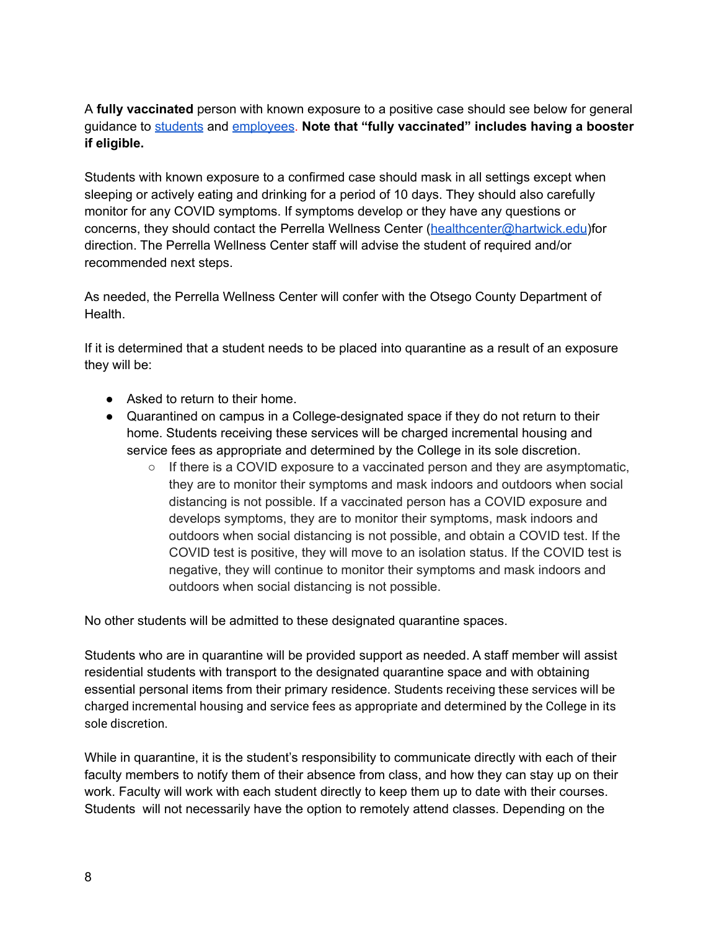A **fully vaccinated** person with known exposure to a positive case should see below for general guidance to [students](#page-8-0) and [employees](#page-8-1). **Note that "fully vaccinated" includes having a booster if eligible.**

Students with known exposure to a confirmed case should mask in all settings except when sleeping or actively eating and drinking for a period of 10 days. They should also carefully monitor for any COVID symptoms. If symptoms develop or they have any questions or concerns, they should contact the Perrella Wellness Center ([healthcenter@hartwick.edu](mailto:healthcenter@hartwick.edu))for direction. The Perrella Wellness Center staff will advise the student of required and/or recommended next steps.

As needed, the Perrella Wellness Center will confer with the Otsego County Department of Health.

If it is determined that a student needs to be placed into quarantine as a result of an exposure they will be:

- Asked to return to their home.
- Quarantined on campus in a College-designated space if they do not return to their home. Students receiving these services will be charged incremental housing and service fees as appropriate and determined by the College in its sole discretion.
	- $\circ$  If there is a COVID exposure to a vaccinated person and they are asymptomatic, they are to monitor their symptoms and mask indoors and outdoors when social distancing is not possible. If a vaccinated person has a COVID exposure and develops symptoms, they are to monitor their symptoms, mask indoors and outdoors when social distancing is not possible, and obtain a COVID test. If the COVID test is positive, they will move to an isolation status. If the COVID test is negative, they will continue to monitor their symptoms and mask indoors and outdoors when social distancing is not possible.

No other students will be admitted to these designated quarantine spaces.

Students who are in quarantine will be provided support as needed. A staff member will assist residential students with transport to the designated quarantine space and with obtaining essential personal items from their primary residence. Students receiving these services will be charged incremental housing and service fees as appropriate and determined by the College in its sole discretion.

While in quarantine, it is the student's responsibility to communicate directly with each of their faculty members to notify them of their absence from class, and how they can stay up on their work. Faculty will work with each student directly to keep them up to date with their courses. Students will not necessarily have the option to remotely attend classes. Depending on the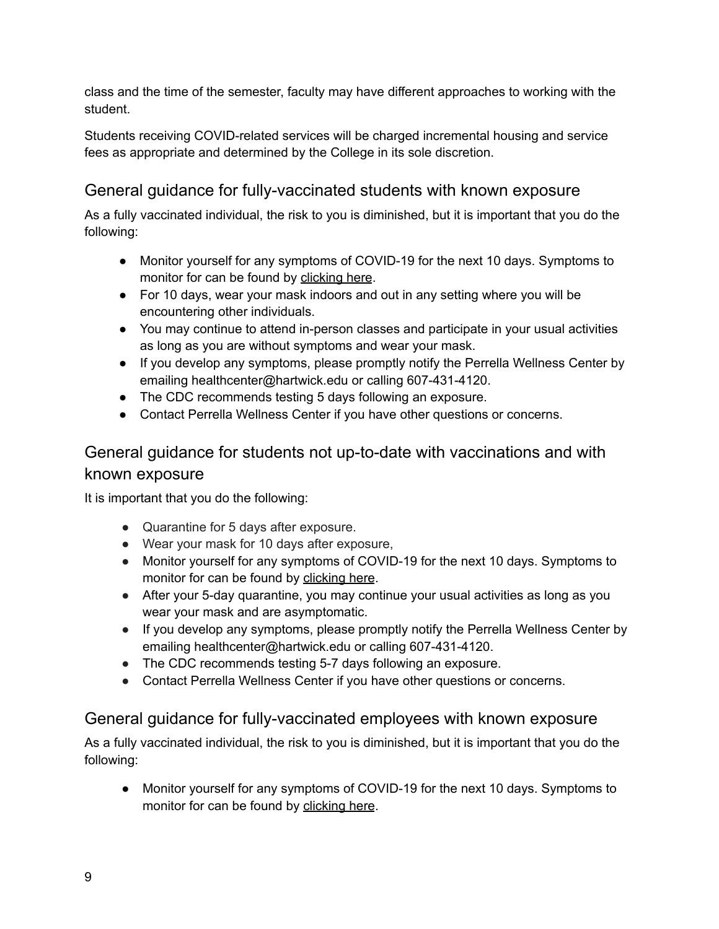class and the time of the semester, faculty may have different approaches to working with the student.

Students receiving COVID-related services will be charged incremental housing and service fees as appropriate and determined by the College in its sole discretion.

# <span id="page-8-0"></span>General guidance for fully-vaccinated students with known exposure

As a fully vaccinated individual, the risk to you is diminished, but it is important that you do the following:

- Monitor yourself for any symptoms of COVID-19 for the next 10 days. Symptoms to monitor for can be found by [clicking](https://www.cdc.gov/coronavirus/2019-ncov/symptoms-testing/symptoms.html) here.
- For 10 days, wear your mask indoors and out in any setting where you will be encountering other individuals.
- You may continue to attend in-person classes and participate in your usual activities as long as you are without symptoms and wear your mask.
- If you develop any symptoms, please promptly notify the Perrella Wellness Center by emailing healthcenter@hartwick.edu or calling 607-431-4120.
- The CDC recommends testing 5 days following an exposure.
- Contact Perrella Wellness Center if you have other questions or concerns.

# General guidance for students not up-to-date with vaccinations and with known exposure

It is important that you do the following:

- Quarantine for 5 days after exposure.
- Wear your mask for 10 days after exposure,
- Monitor yourself for any symptoms of COVID-19 for the next 10 days. Symptoms to monitor for can be found by [clicking](https://www.cdc.gov/coronavirus/2019-ncov/symptoms-testing/symptoms.html) here.
- After your 5-day quarantine, you may continue your usual activities as long as you wear your mask and are asymptomatic.
- If you develop any symptoms, please promptly notify the Perrella Wellness Center by emailing healthcenter@hartwick.edu or calling 607-431-4120.
- The CDC recommends testing 5-7 days following an exposure.
- Contact Perrella Wellness Center if you have other questions or concerns.

# <span id="page-8-1"></span>General guidance for fully-vaccinated employees with known exposure

As a fully vaccinated individual, the risk to you is diminished, but it is important that you do the following:

● Monitor yourself for any symptoms of COVID-19 for the next 10 days. Symptoms to monitor for can be found by [clicking](https://www.cdc.gov/coronavirus/2019-ncov/symptoms-testing/symptoms.html) here.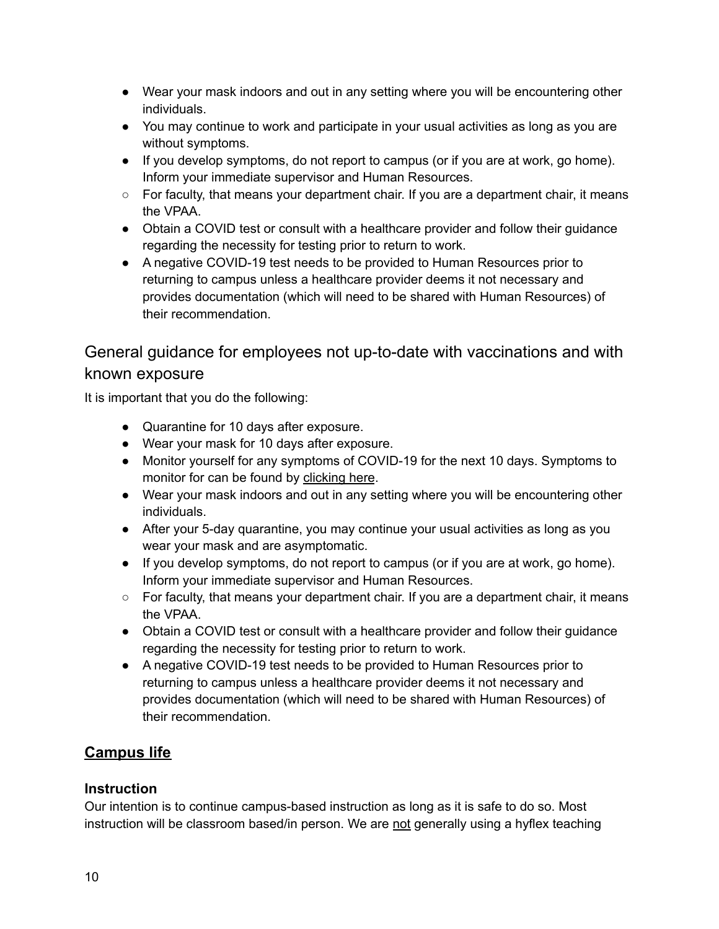- Wear your mask indoors and out in any setting where you will be encountering other individuals.
- You may continue to work and participate in your usual activities as long as you are without symptoms.
- If you develop symptoms, do not report to campus (or if you are at work, go home). Inform your immediate supervisor and Human Resources.
- $\circ$  For faculty, that means your department chair. If you are a department chair, it means the VPAA.
- Obtain a COVID test or consult with a healthcare provider and follow their guidance regarding the necessity for testing prior to return to work.
- A negative COVID-19 test needs to be provided to Human Resources prior to returning to campus unless a healthcare provider deems it not necessary and provides documentation (which will need to be shared with Human Resources) of their recommendation.

# General guidance for employees not up-to-date with vaccinations and with known exposure

It is important that you do the following:

- Quarantine for 10 days after exposure.
- Wear your mask for 10 days after exposure.
- Monitor yourself for any symptoms of COVID-19 for the next 10 days. Symptoms to monitor for can be found by [clicking](https://www.cdc.gov/coronavirus/2019-ncov/symptoms-testing/symptoms.html) here.
- Wear your mask indoors and out in any setting where you will be encountering other individuals.
- After your 5-day quarantine, you may continue your usual activities as long as you wear your mask and are asymptomatic.
- If you develop symptoms, do not report to campus (or if you are at work, go home). Inform your immediate supervisor and Human Resources.
- For faculty, that means your department chair. If you are a department chair, it means the VPAA.
- Obtain a COVID test or consult with a healthcare provider and follow their guidance regarding the necessity for testing prior to return to work.
- A negative COVID-19 test needs to be provided to Human Resources prior to returning to campus unless a healthcare provider deems it not necessary and provides documentation (which will need to be shared with Human Resources) of their recommendation.

# <span id="page-9-0"></span>**Campus life**

## <span id="page-9-1"></span>**Instruction**

Our intention is to continue campus-based instruction as long as it is safe to do so. Most instruction will be classroom based/in person. We are not generally using a hyflex teaching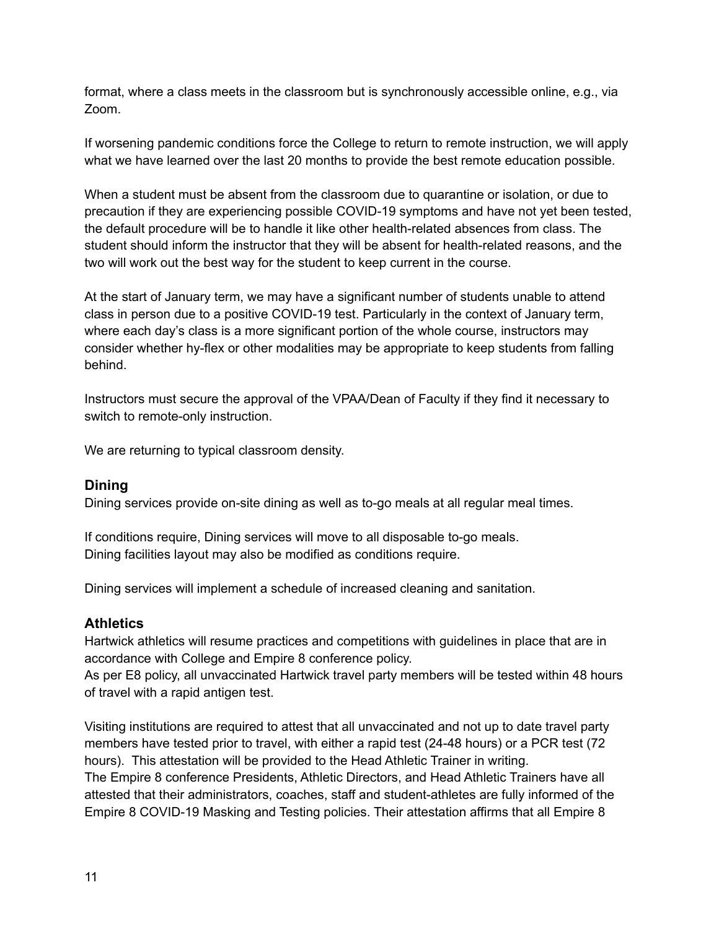format, where a class meets in the classroom but is synchronously accessible online, e.g., via Zoom.

If worsening pandemic conditions force the College to return to remote instruction, we will apply what we have learned over the last 20 months to provide the best remote education possible.

When a student must be absent from the classroom due to quarantine or isolation, or due to precaution if they are experiencing possible COVID-19 symptoms and have not yet been tested, the default procedure will be to handle it like other health-related absences from class. The student should inform the instructor that they will be absent for health-related reasons, and the two will work out the best way for the student to keep current in the course.

At the start of January term, we may have a significant number of students unable to attend class in person due to a positive COVID-19 test. Particularly in the context of January term, where each day's class is a more significant portion of the whole course, instructors may consider whether hy-flex or other modalities may be appropriate to keep students from falling behind.

Instructors must secure the approval of the VPAA/Dean of Faculty if they find it necessary to switch to remote-only instruction.

We are returning to typical classroom density.

#### <span id="page-10-0"></span>**Dining**

Dining services provide on-site dining as well as to-go meals at all regular meal times.

If conditions require, Dining services will move to all disposable to-go meals. Dining facilities layout may also be modified as conditions require.

Dining services will implement a schedule of increased cleaning and sanitation.

#### <span id="page-10-1"></span>**Athletics**

Hartwick athletics will resume practices and competitions with guidelines in place that are in accordance with College and Empire 8 conference policy.

As per E8 policy, all unvaccinated Hartwick travel party members will be tested within 48 hours of travel with a rapid antigen test.

Visiting institutions are required to attest that all unvaccinated and not up to date travel party members have tested prior to travel, with either a rapid test (24-48 hours) or a PCR test (72 hours). This attestation will be provided to the Head Athletic Trainer in writing. The Empire 8 conference Presidents, Athletic Directors, and Head Athletic Trainers have all attested that their administrators, coaches, staff and student-athletes are fully informed of the Empire 8 COVID-19 Masking and Testing policies. Their attestation affirms that all Empire 8